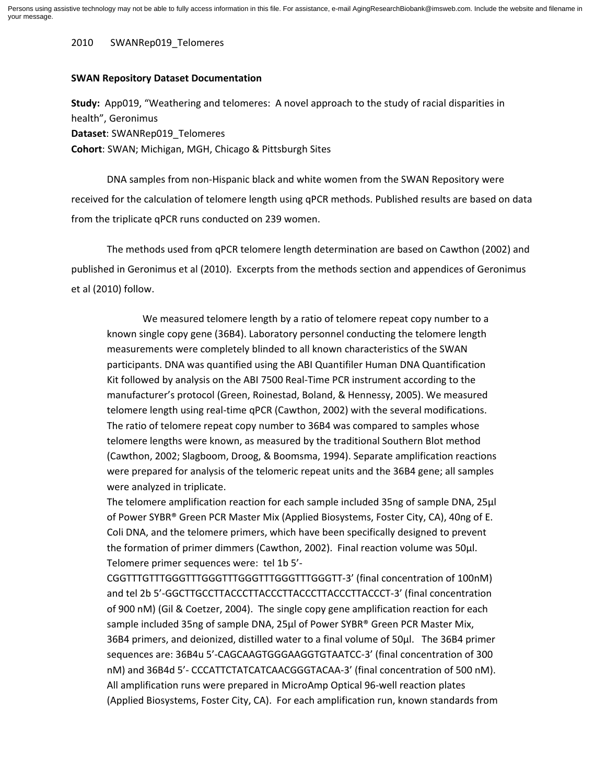2010 SWANRep019\_Telomeres

## **SWAN Repository Dataset Documentation**

**Study:** App019, "Weathering and telomeres: A novel approach to the study of racial disparities in health", Geronimus

**Dataset**: SWANRep019\_Telomeres

**Cohort**: SWAN; Michigan, MGH, Chicago & Pittsburgh Sites

DNA samples from non-Hispanic black and white women from the SWAN Repository were received for the calculation of telomere length using qPCR methods. Published results are based on data from the triplicate qPCR runs conducted on 239 women.

The methods used from qPCR telomere length determination are based on Cawthon (2002) and published in Geronimus et al (2010). Excerpts from the methods section and appendices of Geronimus et al (2010) follow.

We measured telomere length by a ratio of telomere repeat copy number to a known single copy gene (36B4). Laboratory personnel conducting the telomere length measurements were completely blinded to all known characteristics of the SWAN participants. DNA was quantified using the ABI Quantifiler Human DNA Quantification Kit followed by analysis on the ABI 7500 Real-Time PCR instrument according to the manufacturer's protocol (Green, Roinestad, Boland, & Hennessy, 2005). We measured telomere length using real-time qPCR (Cawthon, 2002) with the several modifications. The ratio of telomere repeat copy number to 36B4 was compared to samples whose telomere lengths were known, as measured by the traditional Southern Blot method (Cawthon, 2002; Slagboom, Droog, & Boomsma, 1994). Separate amplification reactions were prepared for analysis of the telomeric repeat units and the 36B4 gene; all samples were analyzed in triplicate.

The telomere amplification reaction for each sample included 35ng of sample DNA, 25μl of Power SYBR® Green PCR Master Mix (Applied Biosystems, Foster City, CA), 40ng of E. Coli DNA, and the telomere primers, which have been specifically designed to prevent the formation of primer dimmers (Cawthon, 2002). Final reaction volume was 50μl. Telomere primer sequences were: tel 1b 5'-

CGGTTTGTTTGGGTTTGGGTTTGGGTTTGGGTTTGGGTT-3' (final concentration of 100nM) and tel 2b 5'-GGCTTGCCTTACCCTTACCCTTACCCTTACCCTTACCCT-3' (final concentration of 900 nM) (Gil & Coetzer, 2004). The single copy gene amplification reaction for each sample included 35ng of sample DNA, 25µl of Power SYBR® Green PCR Master Mix, 36B4 primers, and deionized, distilled water to a final volume of 50μl. The 36B4 primer sequences are: 36B4u 5'-CAGCAAGTGGGAAGGTGTAATCC-3' (final concentration of 300 nM) and 36B4d 5'- CCCATTCTATCATCAACGGGTACAA-3' (final concentration of 500 nM). All amplification runs were prepared in MicroAmp Optical 96-well reaction plates (Applied Biosystems, Foster City, CA). For each amplification run, known standards from